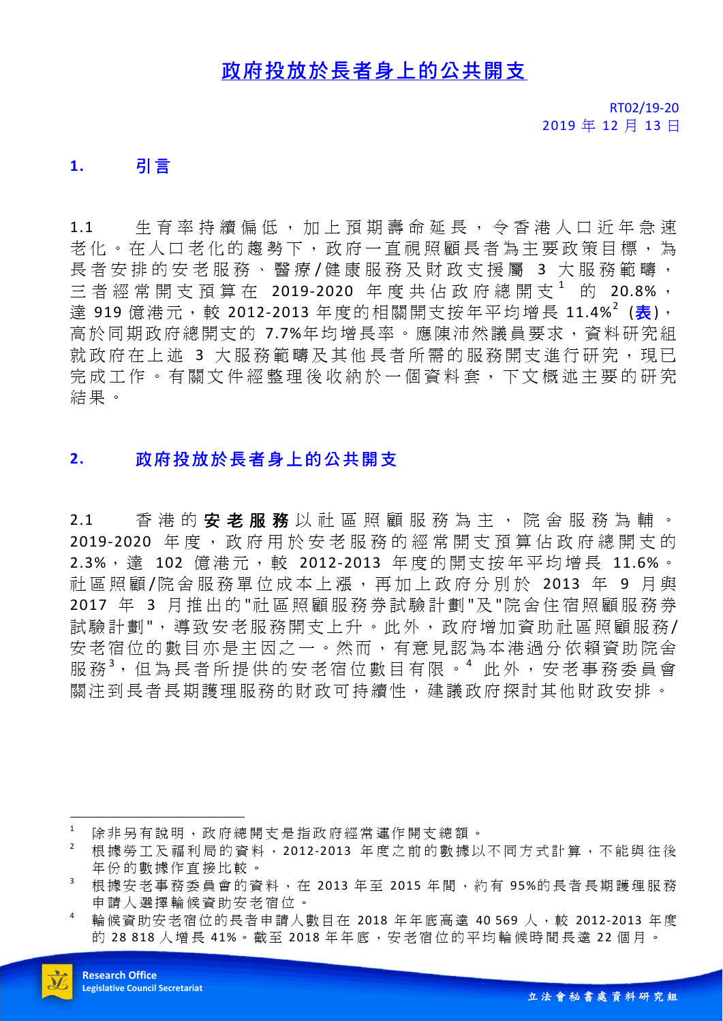## 政府投放於長者身上的公共開支

RT02/19-20 2019 年 12 月 13 日

#### **1.** 引言

1.1 生育率持續偏低,加上預期壽命延長,令香港人口近年急速 老化。在人口老化的趨勢下,政府一直視照顧長者為主要政策目標,為 長者安排的安老服務、醫療/健康服務及財政支援屬 3 大服務範疇, 三者經常開支預算在 2019-2020 年度共佔政府總開支<sup>1</sup> 的 20.8%, 達 919 億港元, 較 2012-2013 年度的相關開支按年平均增長 11.4%<sup>2</sup> (<mark>表)</mark>, 高於同期政府總開支的 7.7%年均增長率。應陳沛然議員要求,資料研究組 就政府在上述 3 大服務範疇及其他長者所需的服務開支進行研究,現已 完成工作。有關文件經整理後收納於一個資料套,下文概述主要的研究 結果。

## **2.** 政府投放於長者身上的公共開支

2.1 香港的安老服務以社區照顧服務為主,院舍服務為輔。 2019-2020 年度, 政府用於安老服務的經常開支預算佔政府總開支的 2.3%, 達 102 億港元,較 2012-2013 年度的開支按年平均增長 11.6%。 社區照顧/院舍服務單位成本上漲,再加上政府分別於 2013 年 9 月與 2017 年 3 月推出的 "社區照顧服務券試驗計劃 "及 "院舍住宿照顧服務券 試驗計劃",導致安老服務開支上升。此外,政府增加資助社區照顧服務/ 安老宿位的數目亦是主因之一。然而,有意見認為本港過分依賴資助院舍 服務<sup>3</sup>,但為長者所提供的安老宿位數目有限。<sup>4</sup> 此外,安老事務委員會 關注到長者長期護理服務的財政可持續性,建議政府探討其他財政安排。

 $\overline{a}$ 

<sup>1</sup> 除非另有說明,政府總開支是指政府經常運作開支總額。

<sup>2</sup> 根據勞工及福利局的資料, 2012-2013 年度之前的數據以不同方式計算,不能與往後 年份的數據作直接比較。

<sup>3</sup> 根據安老事務委員會的資料,在 2013 年 至 2015 年間,約有 95%的長者長期護理服務 申請人選擇輪候資助安老宿位。

輪候資助安老宿位的長者申請人數目在 2018 年年底高達 40 569 人,較 2012-2013 年度 的 28 818 人增長 41%。截至 2018 年年底,安老宿位的平均輪候時間長達 22 個月。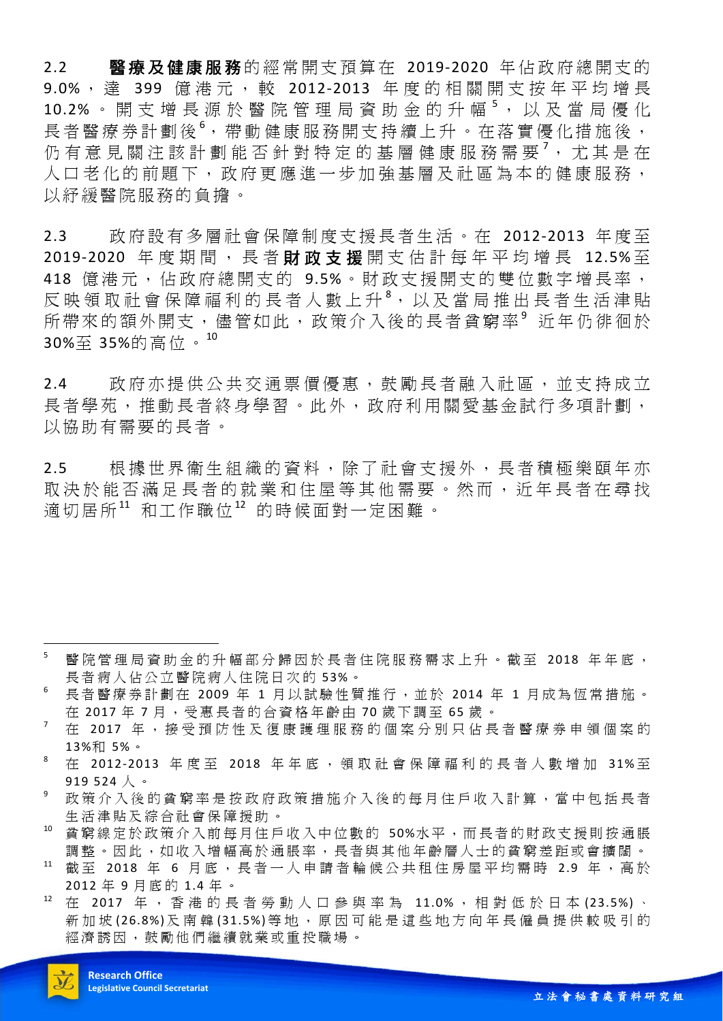2.2 醫療及健康服務的經常開支預算在 2019-2020 年佔政府總開支的 9.0%, 達 399 億港元, 較 2012-2013 年度的相關開支按年平均增長 10.2% 。開支增長源於醫院管理局資助金的升幅5,以及當局優化 長者醫療券計劃後<sup>6</sup>,帶動健康服務開支持續上升。在落實優化措施後, 仍有意見關注該計劃能否針對特定的基層健康服務需要<sup>7</sup>,尤其是在 人口老化的前題下,政府更應進一步加強基層及社區為本的健康服務, 以紓緩醫院服務的負擔。

2.3 政府設有多層社會保障制度支援長者生活。在 2012-2013 年度至 2019-2020 年度期間, 長者財政支援開支估計每年平均增長 12.5%至 418 億港元,佔政府總開支的 9.5%。財政支援開支的雙位數字增長率, 反映領取社會保障福利的長者人數上升<sup>8</sup>,以及當局推出長者生活津貼 所帶來的額外開支, 儘管如此, 政策介入後的長者貧窮率<sup>9</sup> 近年仍徘徊於 30%至 35%的高位。<sup>10</sup>

2.4 政府亦提供公共交通票價優惠,鼓勵長者融入社區,並支持成立 長者學苑,推動長者終身學習。此外,政府利用關愛基金試行多項計劃, 以協助有需要的長者。

2.5 根據世界衞生組織的資料,除了社 會支援外,長者積極樂頤年亦 取決於能否滿足長者的就業和住屋等其他需要。然而,近年長者在尋找 適切居所11 和工作職位12 的時候面對一定困難。

- <sup>5</sup> 醫院管理局資助金的升幅部分歸因於長者住院服務需求上升。截至 2018 年年底, 長者病人佔公立醫院病人住院日次的 53%。
- <sup>6</sup> 長者醫療券計劃在 2009 年 1 月以試驗性質推行,並於 2014 年 1 月成為恆常措施。 在 2017年7月,受惠長者的合資格年齡由 70 歲下調至 65 歲。
- <sup>7</sup> 在 2017 年,接受預防性及復康護理服務的個案分別只佔長者醫療券申領個案的 13%和 5%。
- $8$  在 2012-2013 年度至 2018 年年底,領取社會保障福利的長者人數增加 31%至 919 524 人 。
- <sup>9</sup> 政策介入後的貧窮率是按政府政策措施介入後的每月住戶收入計算,當中包括長者 生活津貼及綜合社會保障援助。
- <sup>10</sup> 貧窮線定於政策介入前每月住戶收入中位數的 50%水平,而長者的財政支援則按通脹 調整。因此,如收入增幅高於通脹率,長者與其他年齡層人士的貧窮差距或會擴闊。
- 截至 2018 年 6 月底,長者一人申請者輪候公共租住房屋平均需時 2.9 年,高於 2012 年 9 月底的 1.4 年 。
- <sup>12</sup> 在 2017 年,香港的長者勞動人口參與率為 11.0% ,相對低於日本 (23.5%) 、 新加坡(26.8%)及南韓(31.5%)等地,原因可能是這些地方向年長僱員提供較吸引的 經濟誘因,鼓勵他們繼續就業或重投職場。



 $\overline{a}$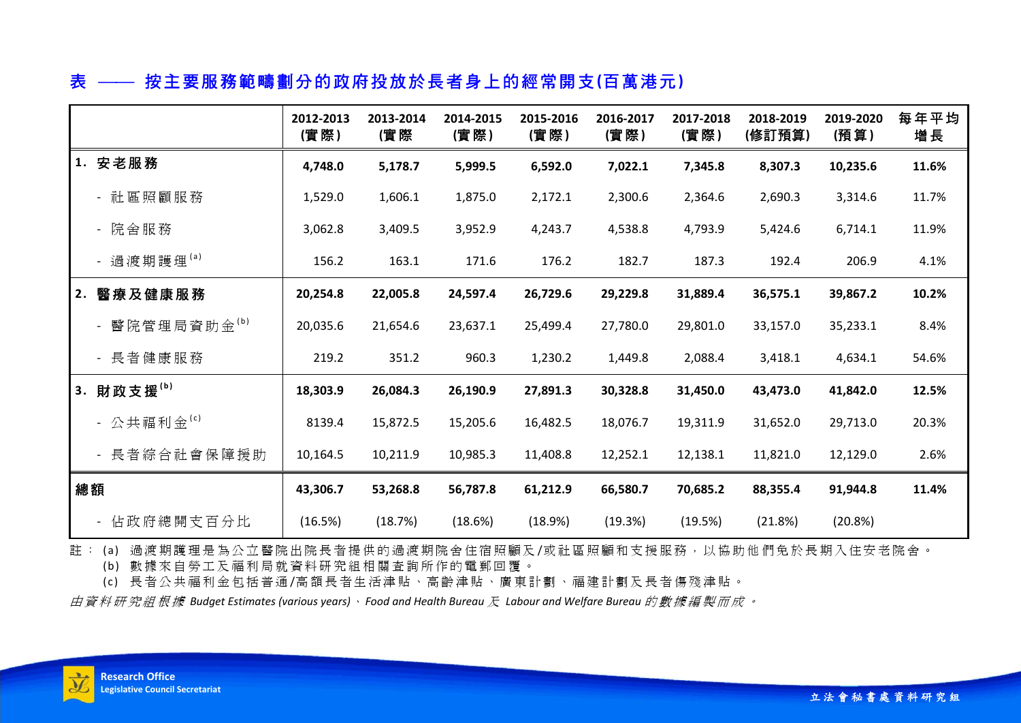# 表 按主要服務範疇劃分的政府投放於長者身上的經常開支**(**百萬港元**)**

|               | 2012-2013<br>(實際) | 2013-2014<br>(實際 | 2014-2015<br>(實際) | 2015-2016<br>(實際) | 2016-2017<br>(實際) | 2017-2018<br>(實際) | 2018-2019<br>(修訂預算) | 2019-2020<br>(預算) | 每年平均<br>增長 |
|---------------|-------------------|------------------|-------------------|-------------------|-------------------|-------------------|---------------------|-------------------|------------|
| 1. 安老服務       | 4,748.0           | 5,178.7          | 5,999.5           | 6,592.0           | 7,022.1           | 7,345.8           | 8,307.3             | 10,235.6          | 11.6%      |
| - 社區照顧服務      | 1,529.0           | 1,606.1          | 1,875.0           | 2,172.1           | 2,300.6           | 2,364.6           | 2,690.3             | 3,314.6           | 11.7%      |
| - 院舍服務        | 3,062.8           | 3,409.5          | 3,952.9           | 4,243.7           | 4,538.8           | 4,793.9           | 5,424.6             | 6,714.1           | 11.9%      |
| - 過渡期護理(a)    | 156.2             | 163.1            | 171.6             | 176.2             | 182.7             | 187.3             | 192.4               | 206.9             | 4.1%       |
| 2. 醫療及健康服務    | 20,254.8          | 22,005.8         | 24,597.4          | 26,729.6          | 29,229.8          | 31,889.4          | 36,575.1            | 39,867.2          | 10.2%      |
| - 醫院管理局資助金(b) | 20,035.6          | 21,654.6         | 23,637.1          | 25,499.4          | 27,780.0          | 29,801.0          | 33,157.0            | 35,233.1          | 8.4%       |
| - 長者健康服務      | 219.2             | 351.2            | 960.3             | 1,230.2           | 1,449.8           | 2,088.4           | 3,418.1             | 4,634.1           | 54.6%      |
| 3. 財政支援(b)    | 18,303.9          | 26,084.3         | 26,190.9          | 27,891.3          | 30,328.8          | 31,450.0          | 43,473.0            | 41,842.0          | 12.5%      |
| - 公共福利金(c)    | 8139.4            | 15,872.5         | 15,205.6          | 16,482.5          | 18,076.7          | 19,311.9          | 31,652.0            | 29,713.0          | 20.3%      |
| - 長者綜合社會保障援助  | 10,164.5          | 10,211.9         | 10,985.3          | 11,408.8          | 12,252.1          | 12,138.1          | 11,821.0            | 12,129.0          | 2.6%       |
| 總額            | 43,306.7          | 53,268.8         | 56,787.8          | 61,212.9          | 66,580.7          | 70,685.2          | 88,355.4            | 91,944.8          | 11.4%      |
| - 佔政府總開支百分比   | (16.5%)           | (18.7%)          | (18.6%)           | (18.9%)           | (19.3%)           | (19.5%)           | (21.8%)             | (20.8%)           |            |

註: (a) 過渡期護理是為公立醫院出院長者提供的過渡期院舍住宿照顧及/或社區照顧和支援服務,以協助他們免於長期入住安老院舍。

(b) 數據來自勞工及福利局就資料研究組相關查詢所作的電郵回覆。

(c) 長者公共福利金包括普通 /高額長者生活津貼、高齡津貼、廣東計劃、福建計劃及長者傷殘津貼。

由資料研究組根據 *Budget Estimates (various years)*、 *Food and Health Bureau* 及 *Labour and Welfare Bureau* 的數據編製而成。

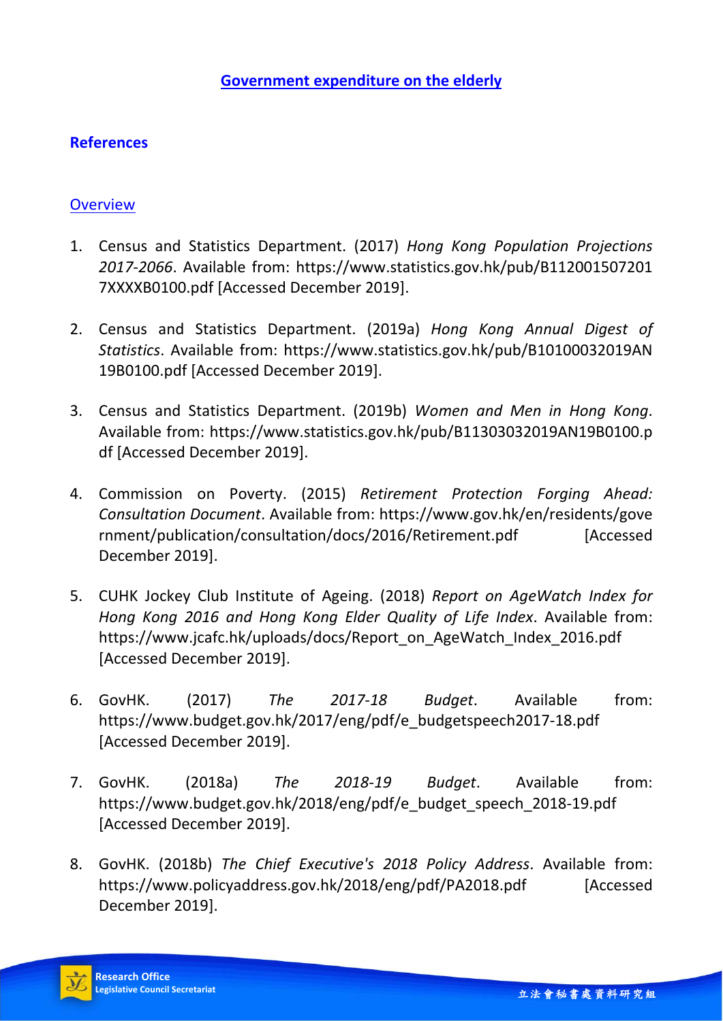## **References**

### **Overview**

- 1. Census and Statistics Department. (2017) *Hong Kong Population Projections 2017-2066*. Available from: https://www.statistics.gov.hk/pub/B112001507201 7XXXXB0100.pdf [Accessed December 2019].
- 2. Census and Statistics Department. (2019a) *Hong Kong Annual Digest of Statistics*. Available from: https://www.statistics.gov.hk/pub/B10100032019AN 19B0100.pdf [Accessed December 2019].
- 3. Census and Statistics Department. (2019b) *Women and Men in Hong Kong*. Available from: https://www.statistics.gov.hk/pub/B11303032019AN19B0100.p df [Accessed December 2019].
- 4. Commission on Poverty. (2015) *Retirement Protection Forging Ahead: Consultation Document*. Available from: https://www.gov.hk/en/residents/gove rnment/publication/consultation/docs/2016/Retirement.pdf [Accessed December 2019].
- 5. CUHK Jockey Club Institute of Ageing. (2018) *Report on AgeWatch Index for Hong Kong 2016 and Hong Kong Elder Quality of Life Index*. Available from: https://www.jcafc.hk/uploads/docs/Report\_on\_AgeWatch\_Index\_2016.pdf [Accessed December 2019].
- 6. GovHK. (2017) *The 2017-18 Budget*. Available from: https://www.budget.gov.hk/2017/eng/pdf/e\_budgetspeech2017-18.pdf [Accessed December 2019].
- 7. GovHK. (2018a) *The 2018-19 Budget*. Available from: https://www.budget.gov.hk/2018/eng/pdf/e\_budget\_speech\_2018-19.pdf [Accessed December 2019].
- 8. GovHK. (2018b) *The Chief Executive's 2018 Policy Address*. Available from: https://www.policyaddress.gov.hk/2018/eng/pdf/PA2018.pdf [Accessed December 2019].

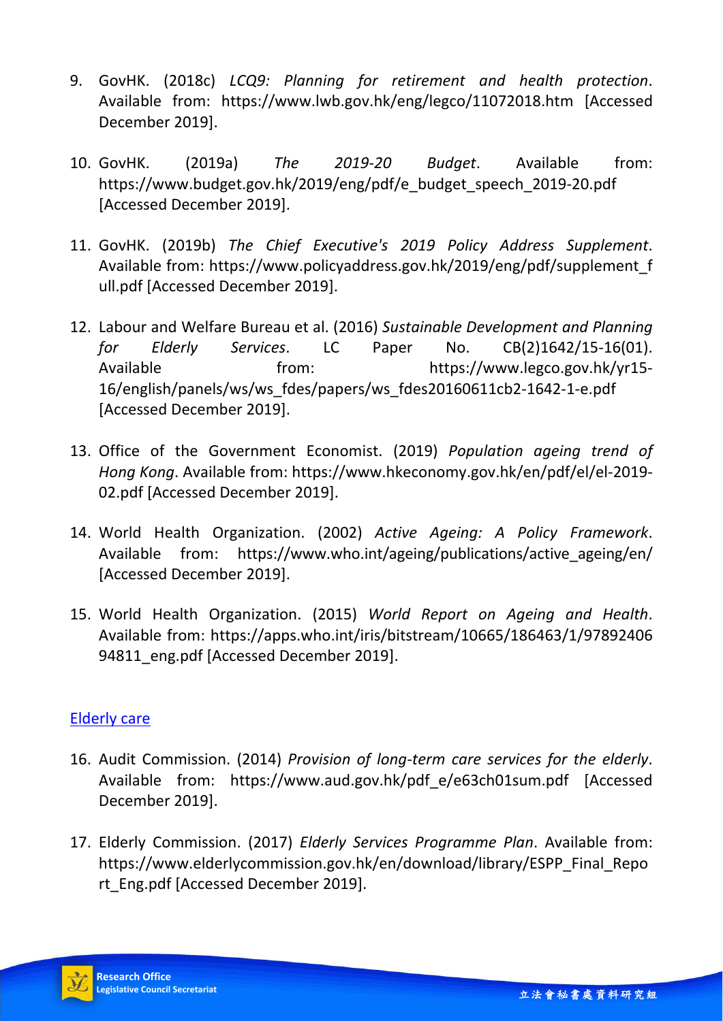- 9. GovHK. (2018c) *LCQ9: Planning for retirement and health protection*. Available from: https://www.lwb.gov.hk/eng/legco/11072018.htm [Accessed December 2019].
- 10. GovHK. (2019a) *The 2019-20 Budget*. Available from: https://www.budget.gov.hk/2019/eng/pdf/e\_budget\_speech\_2019-20.pdf [Accessed December 2019].
- 11. GovHK. (2019b) *The Chief Executive's 2019 Policy Address Supplement*. Available from: https://www.policyaddress.gov.hk/2019/eng/pdf/supplement\_f ull.pdf [Accessed December 2019].
- 12. Labour and Welfare Bureau et al. (2016) *Sustainable Development and Planning for Elderly Services*. LC Paper No. CB(2)1642/15-16(01). Available from: https://www.legco.gov.hk/yr15- 16/english/panels/ws/ws\_fdes/papers/ws\_fdes20160611cb2-1642-1-e.pdf [Accessed December 2019].
- 13. Office of the Government Economist. (2019) *Population ageing trend of Hong Kong*. Available from: https://www.hkeconomy.gov.hk/en/pdf/el/el-2019- 02.pdf [Accessed December 2019].
- 14. World Health Organization. (2002) *Active Ageing: A Policy Framework*. Available from: https://www.who.int/ageing/publications/active\_ageing/en/ [Accessed December 2019].
- 15. World Health Organization. (2015) *World Report on Ageing and Health*. Available from: https://apps.who.int/iris/bitstream/10665/186463/1/97892406 94811 eng.pdf [Accessed December 2019].

### Elderly care

- 16. Audit Commission. (2014) *Provision of long-term care services for the elderly*. Available from: https://www.aud.gov.hk/pdf\_e/e63ch01sum.pdf [Accessed December 2019].
- 17. Elderly Commission. (2017) *Elderly Services Programme Plan*. Available from: https://www.elderlycommission.gov.hk/en/download/library/ESPP\_Final\_Repo rt\_Eng.pdf [Accessed December 2019].

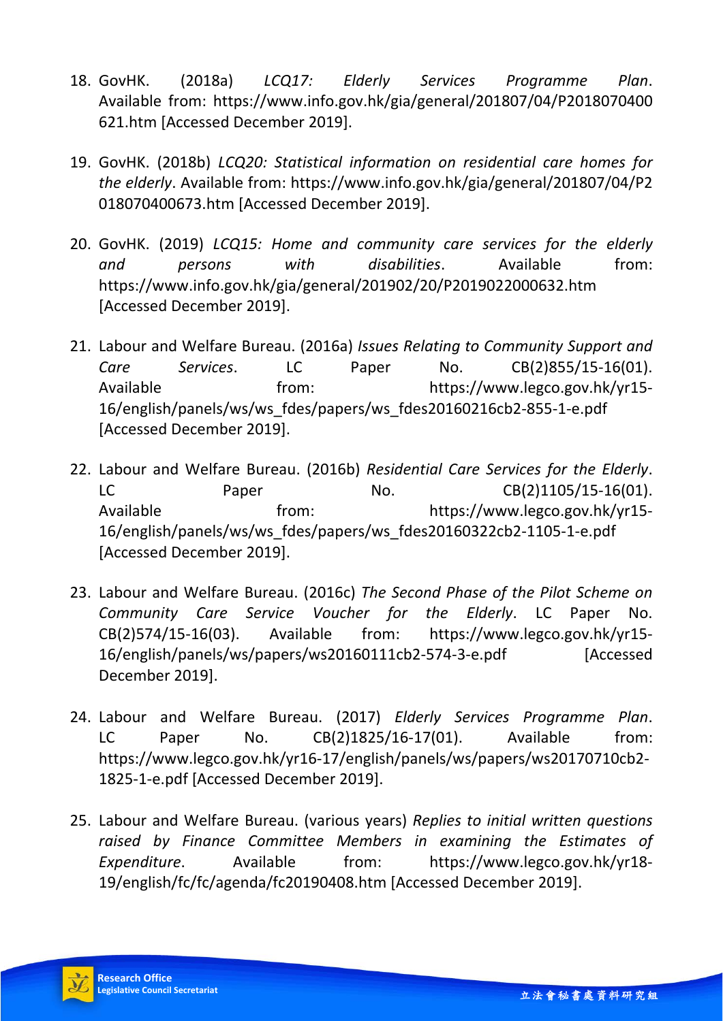- 18. GovHK. (2018a) *LCQ17: Elderly Services Programme Plan*. Available from: https://www.info.gov.hk/gia/general/201807/04/P2018070400 621.htm [Accessed December 2019].
- 19. GovHK. (2018b) *LCQ20: Statistical information on residential care homes for the elderly*. Available from: https://www.info.gov.hk/gia/general/201807/04/P2 018070400673.htm [Accessed December 2019].
- 20. GovHK. (2019) *LCQ15: Home and community care services for the elderly and persons with disabilities*. Available from: https://www.info.gov.hk/gia/general/201902/20/P2019022000632.htm [Accessed December 2019].
- 21. Labour and Welfare Bureau. (2016a) *Issues Relating to Community Support and Care Services*. LC Paper No. CB(2)855/15-16(01). Available from: https://www.legco.gov.hk/yr15-16/english/panels/ws/ws\_fdes/papers/ws\_fdes20160216cb2-855-1-e.pdf [Accessed December 2019].
- 22. Labour and Welfare Bureau. (2016b) *Residential Care Services for the Elderly*. LC Paper No. CB(2)1105/15-16(01). Available from: https://www.legco.gov.hk/yr15- 16/english/panels/ws/ws\_fdes/papers/ws\_fdes20160322cb2-1105-1-e.pdf [Accessed December 2019].
- 23. Labour and Welfare Bureau. (2016c) *The Second Phase of the Pilot Scheme on Community Care Service Voucher for the Elderly*. LC Paper No. CB(2)574/15-16(03). Available from: https://www.legco.gov.hk/yr15- 16/english/panels/ws/papers/ws20160111cb2-574-3-e.pdf [Accessed December 2019].
- 24. Labour and Welfare Bureau. (2017) *Elderly Services Programme Plan*. LC Paper No. CB(2)1825/16-17(01). Available from: https://www.legco.gov.hk/yr16-17/english/panels/ws/papers/ws20170710cb2- 1825-1-e.pdf [Accessed December 2019].
- 25. Labour and Welfare Bureau. (various years) *Replies to initial written questions raised by Finance Committee Members in examining the Estimates of Expenditure*. Available from: https://www.legco.gov.hk/yr18- 19/english/fc/fc/agenda/fc20190408.htm [Accessed December 2019].

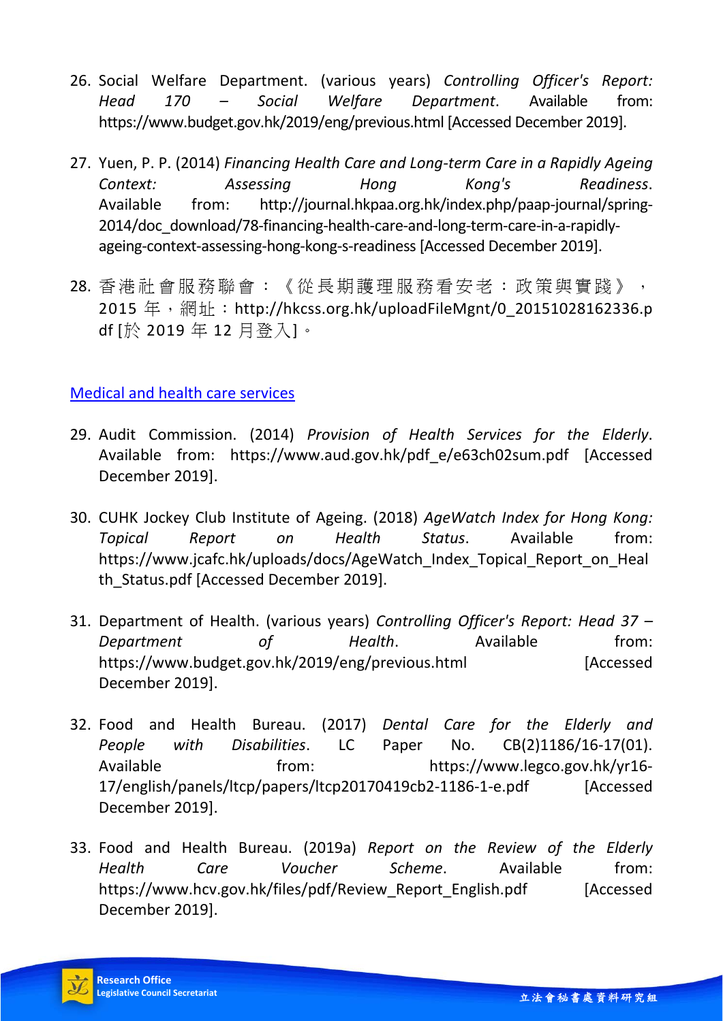- 26. Social Welfare Department. (various years) *Controlling Officer's Report: Head 170 – Social Welfare Department*. Available from: https://www.budget.gov.hk/2019/eng/previous.html [Accessed December 2019].
- 27. Yuen, P. P. (2014) *Financing Health Care and Long-term Care in a Rapidly Ageing Context: Assessing Hong Kong's Readiness*. Available from: http://journal.hkpaa.org.hk/index.php/paap-journal/spring-2014/doc\_download/78-financing-health-care-and-long-term-care-in-a-rapidlyageing-context-assessing-hong-kong-s-readiness [Accessed December 2019].
- 28. 香港社會服務聯會:《從長期護理服務看安老:政策與實踐》, 2015年, 網址: http://hkcss.org.hk/uploadFileMgnt/0\_20151028162336.p df [於 2019 年 12 月登入]。

### Medical and health care services

- 29. Audit Commission. (2014) *Provision of Health Services for the Elderly*. Available from: https://www.aud.gov.hk/pdf\_e/e63ch02sum.pdf [Accessed December 2019].
- 30. CUHK Jockey Club Institute of Ageing. (2018) *AgeWatch Index for Hong Kong: Topical Report on Health Status*. Available from: https://www.jcafc.hk/uploads/docs/AgeWatch\_Index\_Topical\_Report\_on\_Heal th Status.pdf [Accessed December 2019].
- 31. Department of Health. (various years) *Controlling Officer's Report: Head 37 –* **Department** of Health. Available from: https://www.budget.gov.hk/2019/eng/previous.html [Accessed December 2019].
- 32. Food and Health Bureau. (2017) *Dental Care for the Elderly and People with Disabilities*. LC Paper No. CB(2)1186/16-17(01). Available from: https://www.legco.gov.hk/yr16-17/english/panels/ltcp/papers/ltcp20170419cb2-1186-1-e.pdf [Accessed December 2019].
- 33. Food and Health Bureau. (2019a) *Report on the Review of the Elderly Health Care Voucher Scheme*. Available from: https://www.hcv.gov.hk/files/pdf/Review Report English.pdf [Accessed December 2019].

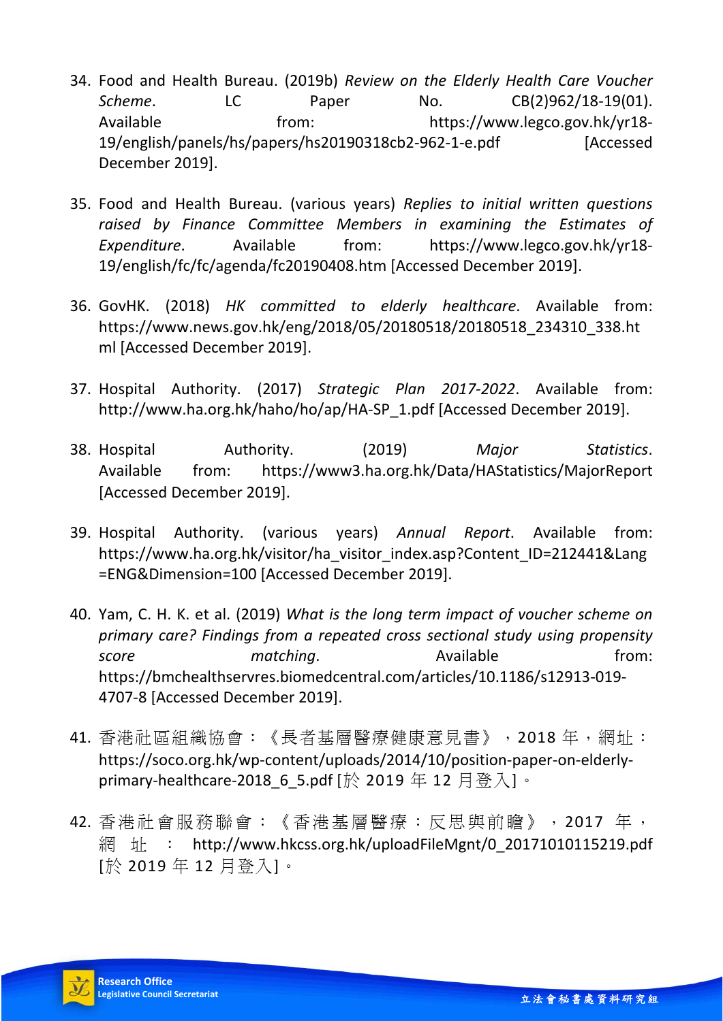- 34. Food and Health Bureau. (2019b) *Review on the Elderly Health Care Voucher Scheme*. LC Paper No. CB(2)962/18-19(01). Available from: https://www.legco.gov.hk/yr18-19/english/panels/hs/papers/hs20190318cb2-962-1-e.pdf [Accessed December 2019].
- 35. Food and Health Bureau. (various years) *Replies to initial written questions raised by Finance Committee Members in examining the Estimates of Expenditure*. Available from: https://www.legco.gov.hk/yr18- 19/english/fc/fc/agenda/fc20190408.htm [Accessed December 2019].
- 36. GovHK. (2018) *HK committed to elderly healthcare*. Available from: https://www.news.gov.hk/eng/2018/05/20180518/20180518\_234310\_338.ht ml [Accessed December 2019].
- 37. Hospital Authority. (2017) *Strategic Plan 2017-2022*. Available from: http://www.ha.org.hk/haho/ho/ap/HA-SP\_1.pdf [Accessed December 2019].
- 38. Hospital Authority. (2019) *Major Statistics*. Available from: https://www3.ha.org.hk/Data/HAStatistics/MajorReport [Accessed December 2019].
- 39. Hospital Authority. (various years) *Annual Report*. Available from: https://www.ha.org.hk/visitor/ha\_visitor\_index.asp?Content\_ID=212441&Lang =ENG&Dimension=100 [Accessed December 2019].
- 40. Yam, C. H. K. et al. (2019) *What is the long term impact of voucher scheme on primary care? Findings from a repeated cross sectional study using propensity*  **score matching**. Available **from:** https://bmchealthservres.biomedcentral.com/articles/10.1186/s12913-019- 4707-8 [Accessed December 2019].
- 41. 香港社區組織協會:《長者基層醫療健康意見書》,2018 年,網址: https://soco.org.hk/wp-content/uploads/2014/10/position-paper-on-elderlyprimary-healthcare-2018 6 5.pdf [於 2019 年 12 月登入]。
- 42. 香港社會服務聯會:《香港基層醫療:反思與前瞻》,2017 年, 網址: http://www.hkcss.org.hk/uploadFileMgnt/0\_20171010115219.pdf [於 2019 年 12 月登入]。

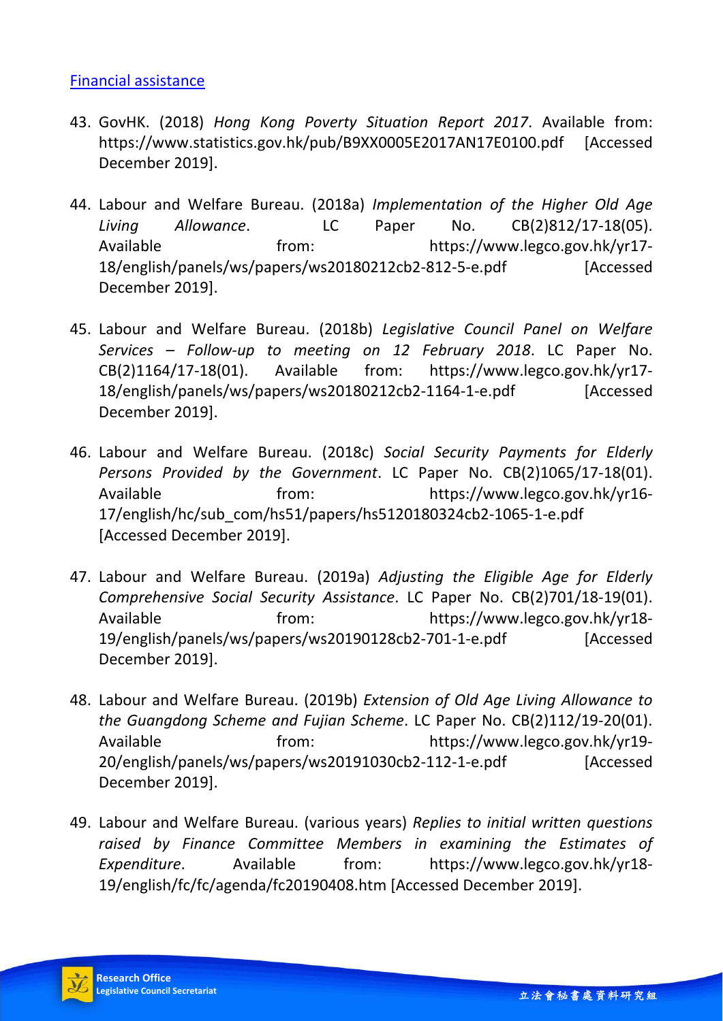#### Financial assistance

- 43. GovHK. (2018) *Hong Kong Poverty Situation Report 2017*. Available from: https://www.statistics.gov.hk/pub/B9XX0005E2017AN17E0100.pdf [Accessed December 2019].
- 44. Labour and Welfare Bureau. (2018a) *Implementation of the Higher Old Age Living Allowance*. LC Paper No. CB(2)812/17-18(05). Available from: https://www.legco.gov.hk/yr17-18/english/panels/ws/papers/ws20180212cb2-812-5-e.pdf [Accessed December 2019].
- 45. Labour and Welfare Bureau. (2018b) *Legislative Council Panel on Welfare Services – Follow-up to meeting on 12 February 2018*. LC Paper No. CB(2)1164/17-18(01). Available from: https://www.legco.gov.hk/yr17- 18/english/panels/ws/papers/ws20180212cb2-1164-1-e.pdf [Accessed December 2019].
- 46. Labour and Welfare Bureau. (2018c) *Social Security Payments for Elderly Persons Provided by the Government*. LC Paper No. CB(2)1065/17-18(01). Available from: https://www.legco.gov.hk/yr16-17/english/hc/sub\_com/hs51/papers/hs5120180324cb2-1065-1-e.pdf [Accessed December 2019].
- 47. Labour and Welfare Bureau. (2019a) *Adjusting the Eligible Age for Elderly Comprehensive Social Security Assistance*. LC Paper No. CB(2)701/18-19(01). Available from: https://www.legco.gov.hk/yr18-19/english/panels/ws/papers/ws20190128cb2-701-1-e.pdf [Accessed December 2019].
- 48. Labour and Welfare Bureau. (2019b) *Extension of Old Age Living Allowance to the Guangdong Scheme and Fujian Scheme*. LC Paper No. CB(2)112/19-20(01). Available from: https://www.legco.gov.hk/yr19-20/english/panels/ws/papers/ws20191030cb2-112-1-e.pdf [Accessed December 2019].
- 49. Labour and Welfare Bureau. (various years) *Replies to initial written questions raised by Finance Committee Members in examining the Estimates of Expenditure*. Available from: https://www.legco.gov.hk/yr18- 19/english/fc/fc/agenda/fc20190408.htm [Accessed December 2019].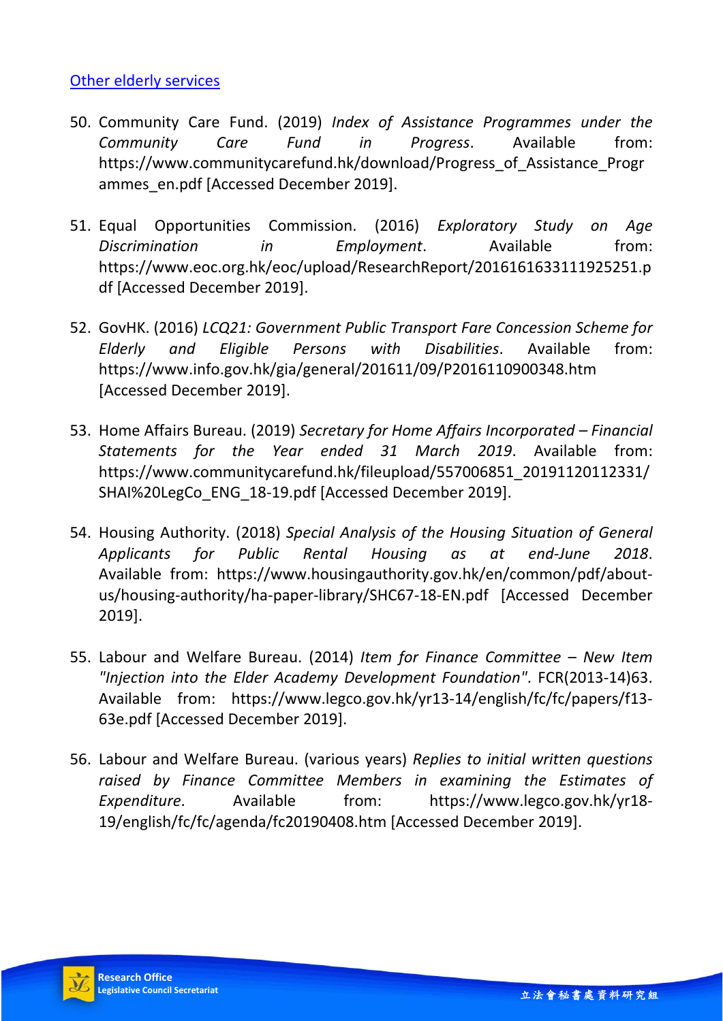#### Other elderly services

- 50. Community Care Fund. (2019) *Index of Assistance Programmes under the Community Care Fund in Progress*. Available from: https://www.communitycarefund.hk/download/Progress\_of\_Assistance\_Progr ammes en.pdf [Accessed December 2019].
- 51. Equal Opportunities Commission. (2016) *Exploratory Study on Age Discrimination in Employment*. Available from: https://www.eoc.org.hk/eoc/upload/ResearchReport/2016161633111925251.p df [Accessed December 2019].
- 52. GovHK. (2016) *LCQ21: Government Public Transport Fare Concession Scheme for Elderly and Eligible Persons with Disabilities*. Available from: https://www.info.gov.hk/gia/general/201611/09/P2016110900348.htm [Accessed December 2019].
- 53. Home Affairs Bureau. (2019) *Secretary for Home Affairs Incorporated Financial Statements for the Year ended 31 March 2019*. Available from: https://www.communitycarefund.hk/fileupload/557006851\_20191120112331/ SHAI%20LegCo\_ENG\_18-19.pdf [Accessed December 2019].
- 54. Housing Authority. (2018) *Special Analysis of the Housing Situation of General Applicants for Public Rental Housing as at end-June 2018*. Available from: https://www.housingauthority.gov.hk/en/common/pdf/aboutus/housing-authority/ha-paper-library/SHC67-18-EN.pdf [Accessed December 2019].
- 55. Labour and Welfare Bureau. (2014) *Item for Finance Committee New Item "Injection into the Elder Academy Development Foundation"*. FCR(2013-14)63. Available from: https://www.legco.gov.hk/yr13-14/english/fc/fc/papers/f13- 63e.pdf [Accessed December 2019].
- 56. Labour and Welfare Bureau. (various years) *Replies to initial written questions raised by Finance Committee Members in examining the Estimates of Expenditure*. Available from: https://www.legco.gov.hk/yr18- 19/english/fc/fc/agenda/fc20190408.htm [Accessed December 2019].